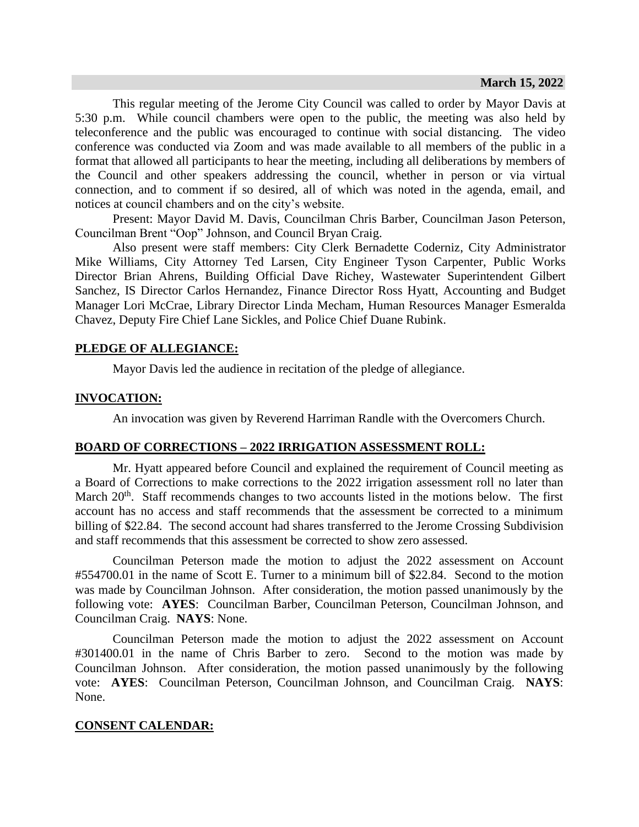This regular meeting of the Jerome City Council was called to order by Mayor Davis at 5:30 p.m. While council chambers were open to the public, the meeting was also held by teleconference and the public was encouraged to continue with social distancing. The video conference was conducted via Zoom and was made available to all members of the public in a format that allowed all participants to hear the meeting, including all deliberations by members of the Council and other speakers addressing the council, whether in person or via virtual connection, and to comment if so desired, all of which was noted in the agenda, email, and notices at council chambers and on the city's website.

Present: Mayor David M. Davis, Councilman Chris Barber, Councilman Jason Peterson, Councilman Brent "Oop" Johnson, and Council Bryan Craig.

Also present were staff members: City Clerk Bernadette Coderniz, City Administrator Mike Williams, City Attorney Ted Larsen, City Engineer Tyson Carpenter, Public Works Director Brian Ahrens, Building Official Dave Richey, Wastewater Superintendent Gilbert Sanchez, IS Director Carlos Hernandez, Finance Director Ross Hyatt, Accounting and Budget Manager Lori McCrae, Library Director Linda Mecham, Human Resources Manager Esmeralda Chavez, Deputy Fire Chief Lane Sickles, and Police Chief Duane Rubink.

### **PLEDGE OF ALLEGIANCE:**

Mayor Davis led the audience in recitation of the pledge of allegiance.

### **INVOCATION:**

An invocation was given by Reverend Harriman Randle with the Overcomers Church.

## **BOARD OF CORRECTIONS – 2022 IRRIGATION ASSESSMENT ROLL:**

Mr. Hyatt appeared before Council and explained the requirement of Council meeting as a Board of Corrections to make corrections to the 2022 irrigation assessment roll no later than March  $20<sup>th</sup>$ . Staff recommends changes to two accounts listed in the motions below. The first account has no access and staff recommends that the assessment be corrected to a minimum billing of \$22.84. The second account had shares transferred to the Jerome Crossing Subdivision and staff recommends that this assessment be corrected to show zero assessed.

Councilman Peterson made the motion to adjust the 2022 assessment on Account #554700.01 in the name of Scott E. Turner to a minimum bill of \$22.84. Second to the motion was made by Councilman Johnson. After consideration, the motion passed unanimously by the following vote: **AYES**: Councilman Barber, Councilman Peterson, Councilman Johnson, and Councilman Craig. **NAYS**: None.

Councilman Peterson made the motion to adjust the 2022 assessment on Account #301400.01 in the name of Chris Barber to zero. Second to the motion was made by Councilman Johnson. After consideration, the motion passed unanimously by the following vote: **AYES**: Councilman Peterson, Councilman Johnson, and Councilman Craig. **NAYS**: None.

#### **CONSENT CALENDAR:**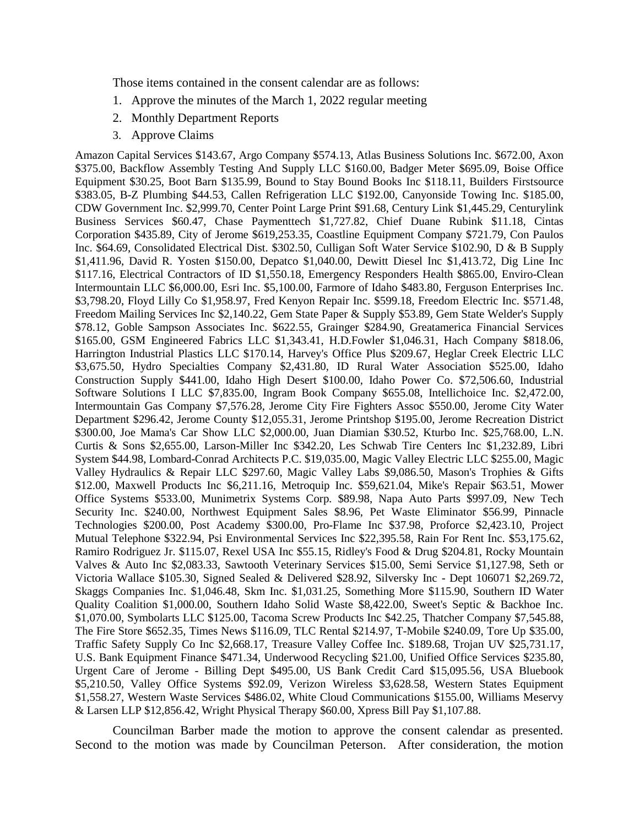Those items contained in the consent calendar are as follows:

- 1. Approve the minutes of the March 1, 2022 regular meeting
- 2. Monthly Department Reports
- 3. Approve Claims

Amazon Capital Services \$143.67, Argo Company \$574.13, Atlas Business Solutions Inc. \$672.00, Axon \$375.00, Backflow Assembly Testing And Supply LLC \$160.00, Badger Meter \$695.09, Boise Office Equipment \$30.25, Boot Barn \$135.99, Bound to Stay Bound Books Inc \$118.11, Builders Firstsource \$383.05, B-Z Plumbing \$44.53, Callen Refrigeration LLC \$192.00, Canyonside Towing Inc. \$185.00, CDW Government Inc. \$2,999.70, Center Point Large Print \$91.68, Century Link \$1,445.29, Centurylink Business Services \$60.47, Chase Paymenttech \$1,727.82, Chief Duane Rubink \$11.18, Cintas Corporation \$435.89, City of Jerome \$619,253.35, Coastline Equipment Company \$721.79, Con Paulos Inc. \$64.69, Consolidated Electrical Dist. \$302.50, Culligan Soft Water Service \$102.90, D & B Supply \$1,411.96, David R. Yosten \$150.00, Depatco \$1,040.00, Dewitt Diesel Inc \$1,413.72, Dig Line Inc \$117.16, Electrical Contractors of ID \$1,550.18, Emergency Responders Health \$865.00, Enviro-Clean Intermountain LLC \$6,000.00, Esri Inc. \$5,100.00, Farmore of Idaho \$483.80, Ferguson Enterprises Inc. \$3,798.20, Floyd Lilly Co \$1,958.97, Fred Kenyon Repair Inc. \$599.18, Freedom Electric Inc. \$571.48, Freedom Mailing Services Inc \$2,140.22, Gem State Paper & Supply \$53.89, Gem State Welder's Supply \$78.12, Goble Sampson Associates Inc. \$622.55, Grainger \$284.90, Greatamerica Financial Services \$165.00, GSM Engineered Fabrics LLC \$1,343.41, H.D.Fowler \$1,046.31, Hach Company \$818.06, Harrington Industrial Plastics LLC \$170.14, Harvey's Office Plus \$209.67, Heglar Creek Electric LLC \$3,675.50, Hydro Specialties Company \$2,431.80, ID Rural Water Association \$525.00, Idaho Construction Supply \$441.00, Idaho High Desert \$100.00, Idaho Power Co. \$72,506.60, Industrial Software Solutions I LLC \$7,835.00, Ingram Book Company \$655.08, Intellichoice Inc. \$2,472.00, Intermountain Gas Company \$7,576.28, Jerome City Fire Fighters Assoc \$550.00, Jerome City Water Department \$296.42, Jerome County \$12,055.31, Jerome Printshop \$195.00, Jerome Recreation District \$300.00, Joe Mama's Car Show LLC \$2,000.00, Juan Diamian \$30.52, Kturbo Inc. \$25,768.00, L.N. Curtis & Sons \$2,655.00, Larson-Miller Inc \$342.20, Les Schwab Tire Centers Inc \$1,232.89, Libri System \$44.98, Lombard-Conrad Architects P.C. \$19,035.00, Magic Valley Electric LLC \$255.00, Magic Valley Hydraulics & Repair LLC \$297.60, Magic Valley Labs \$9,086.50, Mason's Trophies & Gifts \$12.00, Maxwell Products Inc \$6,211.16, Metroquip Inc. \$59,621.04, Mike's Repair \$63.51, Mower Office Systems \$533.00, Munimetrix Systems Corp. \$89.98, Napa Auto Parts \$997.09, New Tech Security Inc. \$240.00, Northwest Equipment Sales \$8.96, Pet Waste Eliminator \$56.99, Pinnacle Technologies \$200.00, Post Academy \$300.00, Pro-Flame Inc \$37.98, Proforce \$2,423.10, Project Mutual Telephone \$322.94, Psi Environmental Services Inc \$22,395.58, Rain For Rent Inc. \$53,175.62, Ramiro Rodriguez Jr. \$115.07, Rexel USA Inc \$55.15, Ridley's Food & Drug \$204.81, Rocky Mountain Valves & Auto Inc \$2,083.33, Sawtooth Veterinary Services \$15.00, Semi Service \$1,127.98, Seth or Victoria Wallace \$105.30, Signed Sealed & Delivered \$28.92, Silversky Inc - Dept 106071 \$2,269.72, Skaggs Companies Inc. \$1,046.48, Skm Inc. \$1,031.25, Something More \$115.90, Southern ID Water Quality Coalition \$1,000.00, Southern Idaho Solid Waste \$8,422.00, Sweet's Septic & Backhoe Inc. \$1,070.00, Symbolarts LLC \$125.00, Tacoma Screw Products Inc \$42.25, Thatcher Company \$7,545.88, The Fire Store \$652.35, Times News \$116.09, TLC Rental \$214.97, T-Mobile \$240.09, Tore Up \$35.00, Traffic Safety Supply Co Inc \$2,668.17, Treasure Valley Coffee Inc. \$189.68, Trojan UV \$25,731.17, U.S. Bank Equipment Finance \$471.34, Underwood Recycling \$21.00, Unified Office Services \$235.80, Urgent Care of Jerome - Billing Dept \$495.00, US Bank Credit Card \$15,095.56, USA Bluebook \$5,210.50, Valley Office Systems \$92.09, Verizon Wireless \$3,628.58, Western States Equipment \$1,558.27, Western Waste Services \$486.02, White Cloud Communications \$155.00, Williams Meservy & Larsen LLP \$12,856.42, Wright Physical Therapy \$60.00, Xpress Bill Pay \$1,107.88.

Councilman Barber made the motion to approve the consent calendar as presented. Second to the motion was made by Councilman Peterson. After consideration, the motion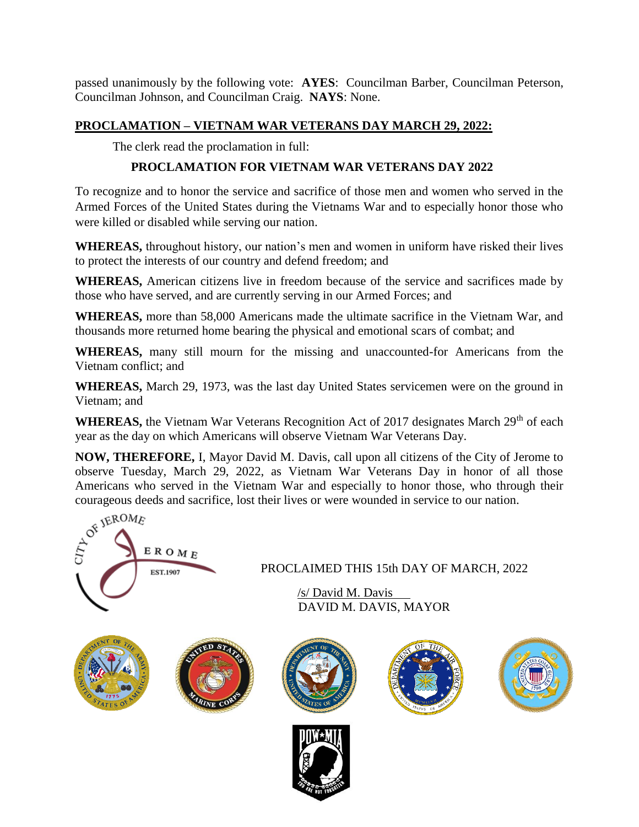passed unanimously by the following vote: **AYES**: Councilman Barber, Councilman Peterson, Councilman Johnson, and Councilman Craig. **NAYS**: None.

## **PROCLAMATION – VIETNAM WAR VETERANS DAY MARCH 29, 2022:**

The clerk read the proclamation in full:

# **PROCLAMATION FOR VIETNAM WAR VETERANS DAY 2022**

To recognize and to honor the service and sacrifice of those men and women who served in the Armed Forces of the United States during the Vietnams War and to especially honor those who were killed or disabled while serving our nation.

**WHEREAS,** throughout history, our nation's men and women in uniform have risked their lives to protect the interests of our country and defend freedom; and

**WHEREAS,** American citizens live in freedom because of the service and sacrifices made by those who have served, and are currently serving in our Armed Forces; and

**WHEREAS,** more than 58,000 Americans made the ultimate sacrifice in the Vietnam War, and thousands more returned home bearing the physical and emotional scars of combat; and

**WHEREAS,** many still mourn for the missing and unaccounted-for Americans from the Vietnam conflict; and

**WHEREAS,** March 29, 1973, was the last day United States servicemen were on the ground in Vietnam; and

**WHEREAS,** the Vietnam War Veterans Recognition Act of 2017 designates March 29<sup>th</sup> of each year as the day on which Americans will observe Vietnam War Veterans Day.

**NOW, THEREFORE,** I, Mayor David M. Davis, call upon all citizens of the City of Jerome to observe Tuesday, March 29, 2022, as Vietnam War Veterans Day in honor of all those courageous deeds and sacrifice, lost their lives or were wounded in service to our nation.



DAVID M. DAVIS, MAYOR

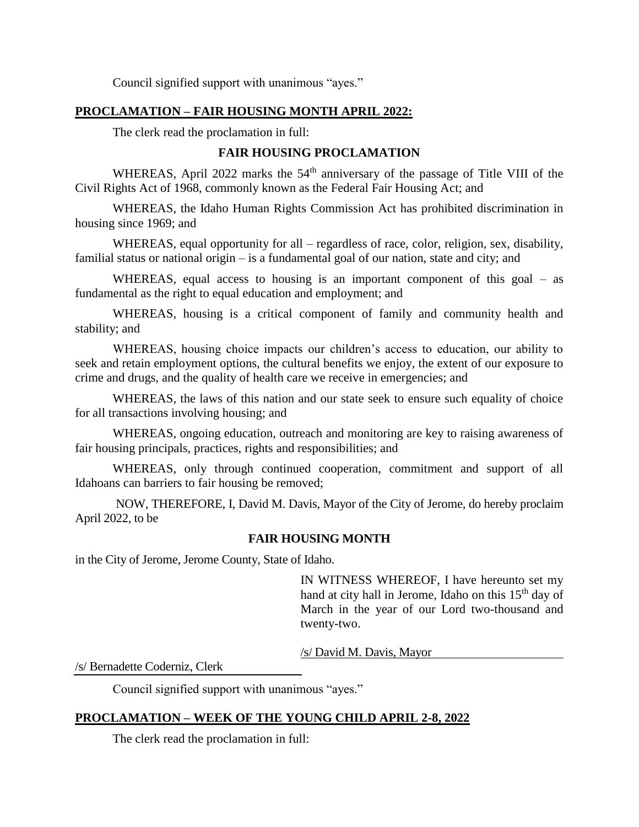Council signified support with unanimous "ayes."

## **PROCLAMATION – FAIR HOUSING MONTH APRIL 2022:**

The clerk read the proclamation in full:

## **FAIR HOUSING PROCLAMATION**

WHEREAS, April 2022 marks the 54<sup>th</sup> anniversary of the passage of Title VIII of the Civil Rights Act of 1968, commonly known as the Federal Fair Housing Act; and

WHEREAS, the Idaho Human Rights Commission Act has prohibited discrimination in housing since 1969; and

WHEREAS, equal opportunity for all – regardless of race, color, religion, sex, disability, familial status or national origin – is a fundamental goal of our nation, state and city; and

WHEREAS, equal access to housing is an important component of this goal – as fundamental as the right to equal education and employment; and

WHEREAS, housing is a critical component of family and community health and stability; and

WHEREAS, housing choice impacts our children's access to education, our ability to seek and retain employment options, the cultural benefits we enjoy, the extent of our exposure to crime and drugs, and the quality of health care we receive in emergencies; and

WHEREAS, the laws of this nation and our state seek to ensure such equality of choice for all transactions involving housing; and

WHEREAS, ongoing education, outreach and monitoring are key to raising awareness of fair housing principals, practices, rights and responsibilities; and

WHEREAS, only through continued cooperation, commitment and support of all Idahoans can barriers to fair housing be removed;

NOW, THEREFORE, I, David M. Davis, Mayor of the City of Jerome, do hereby proclaim April 2022, to be

### **FAIR HOUSING MONTH**

in the City of Jerome, Jerome County, State of Idaho.

IN WITNESS WHEREOF, I have hereunto set my hand at city hall in Jerome, Idaho on this  $15<sup>th</sup>$  day of March in the year of our Lord two-thousand and twenty-two.

/s/ David M. Davis, Mayor

/s/ Bernadette Coderniz, Clerk

Council signified support with unanimous "ayes."

## **PROCLAMATION – WEEK OF THE YOUNG CHILD APRIL 2-8, 2022**

The clerk read the proclamation in full: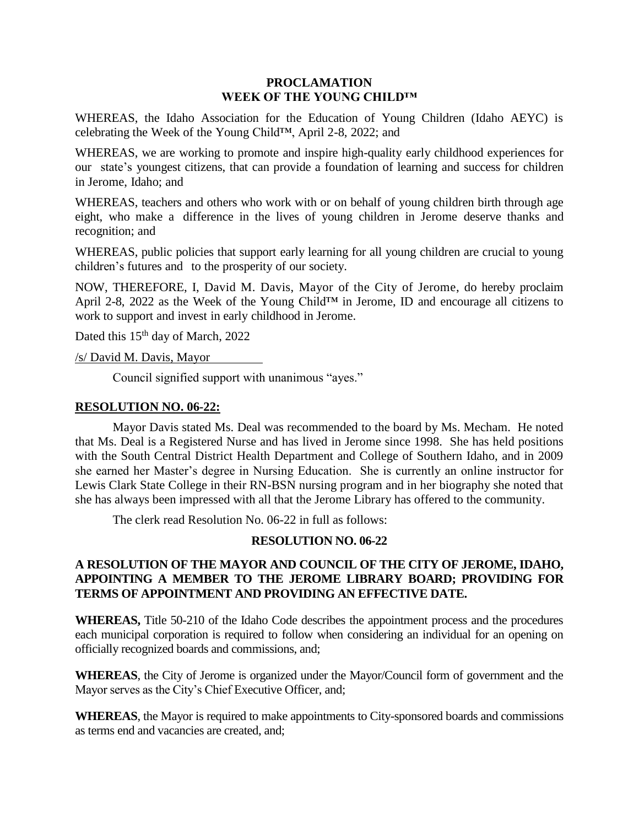#### **PROCLAMATION WEEK OF THE YOUNG CHILD™**

WHEREAS, the Idaho Association for the Education of Young Children (Idaho AEYC) is celebrating the Week of the Young Child™, April 2-8, 2022; and

WHEREAS, we are working to promote and inspire high-quality early childhood experiences for our state's youngest citizens, that can provide a foundation of learning and success for children in Jerome, Idaho; and

WHEREAS, teachers and others who work with or on behalf of young children birth through age eight, who make a difference in the lives of young children in Jerome deserve thanks and recognition; and

WHEREAS, public policies that support early learning for all young children are crucial to young children's futures and to the prosperity of our society.

NOW, THEREFORE, I, David M. Davis, Mayor of the City of Jerome, do hereby proclaim April 2-8, 2022 as the Week of the Young Child™ in Jerome, ID and encourage all citizens to work to support and invest in early childhood in Jerome.

Dated this 15<sup>th</sup> day of March, 2022

/s/ David M. Davis, Mayor

Council signified support with unanimous "ayes."

#### **RESOLUTION NO. 06-22:**

Mayor Davis stated Ms. Deal was recommended to the board by Ms. Mecham. He noted that Ms. Deal is a Registered Nurse and has lived in Jerome since 1998. She has held positions with the South Central District Health Department and College of Southern Idaho, and in 2009 she earned her Master's degree in Nursing Education. She is currently an online instructor for Lewis Clark State College in their RN-BSN nursing program and in her biography she noted that she has always been impressed with all that the Jerome Library has offered to the community.

The clerk read Resolution No. 06-22 in full as follows:

### **RESOLUTION NO. 06-22**

## **A RESOLUTION OF THE MAYOR AND COUNCIL OF THE CITY OF JEROME, IDAHO, APPOINTING A MEMBER TO THE JEROME LIBRARY BOARD; PROVIDING FOR TERMS OF APPOINTMENT AND PROVIDING AN EFFECTIVE DATE.**

**WHEREAS,** Title 50-210 of the Idaho Code describes the appointment process and the procedures each municipal corporation is required to follow when considering an individual for an opening on officially recognized boards and commissions, and;

**WHEREAS**, the City of Jerome is organized under the Mayor/Council form of government and the Mayor serves as the City's Chief Executive Officer, and;

**WHEREAS**, the Mayor is required to make appointments to City-sponsored boards and commissions as terms end and vacancies are created, and;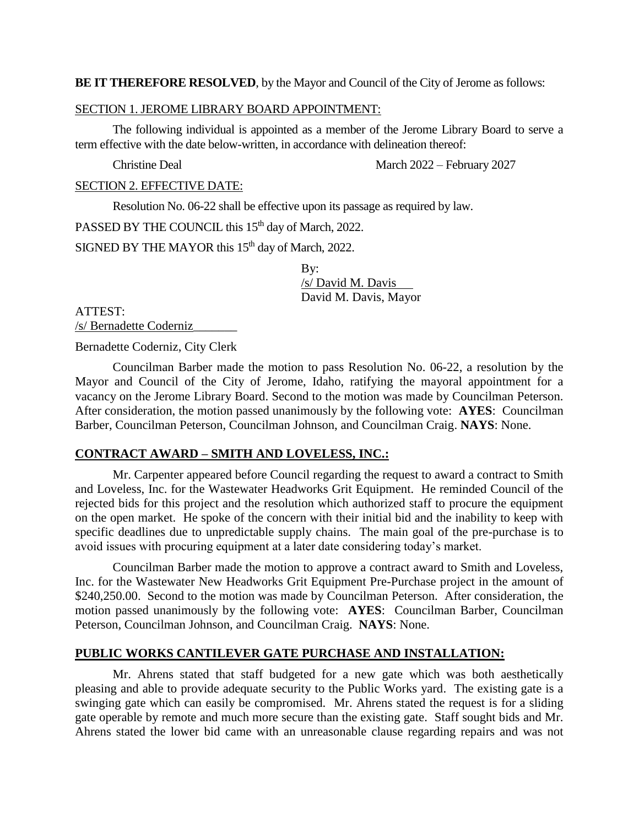#### **BE IT THEREFORE RESOLVED**, by the Mayor and Council of the City of Jerome as follows:

#### SECTION 1. JEROME LIBRARY BOARD APPOINTMENT:

The following individual is appointed as a member of the Jerome Library Board to serve a term effective with the date below-written, in accordance with delineation thereof:

Christine Deal March 2022 – February 2027

SECTION 2. EFFECTIVE DATE:

Resolution No. 06-22 shall be effective upon its passage as required by law.

PASSED BY THE COUNCIL this 15<sup>th</sup> day of March, 2022.

SIGNED BY THE MAYOR this 15<sup>th</sup> day of March, 2022.

By: /s/ David M. Davis David M. Davis, Mayor

ATTEST:

/s/ Bernadette Coderniz\_\_\_\_\_\_\_

Bernadette Coderniz, City Clerk

Councilman Barber made the motion to pass Resolution No. 06-22, a resolution by the Mayor and Council of the City of Jerome, Idaho, ratifying the mayoral appointment for a vacancy on the Jerome Library Board. Second to the motion was made by Councilman Peterson. After consideration, the motion passed unanimously by the following vote: **AYES**: Councilman Barber, Councilman Peterson, Councilman Johnson, and Councilman Craig. **NAYS**: None.

### **CONTRACT AWARD – SMITH AND LOVELESS, INC.:**

Mr. Carpenter appeared before Council regarding the request to award a contract to Smith and Loveless, Inc. for the Wastewater Headworks Grit Equipment. He reminded Council of the rejected bids for this project and the resolution which authorized staff to procure the equipment on the open market. He spoke of the concern with their initial bid and the inability to keep with specific deadlines due to unpredictable supply chains. The main goal of the pre-purchase is to avoid issues with procuring equipment at a later date considering today's market.

Councilman Barber made the motion to approve a contract award to Smith and Loveless, Inc. for the Wastewater New Headworks Grit Equipment Pre-Purchase project in the amount of \$240,250.00. Second to the motion was made by Councilman Peterson. After consideration, the motion passed unanimously by the following vote: **AYES**: Councilman Barber, Councilman Peterson, Councilman Johnson, and Councilman Craig. **NAYS**: None.

#### **PUBLIC WORKS CANTILEVER GATE PURCHASE AND INSTALLATION:**

Mr. Ahrens stated that staff budgeted for a new gate which was both aesthetically pleasing and able to provide adequate security to the Public Works yard. The existing gate is a swinging gate which can easily be compromised. Mr. Ahrens stated the request is for a sliding gate operable by remote and much more secure than the existing gate. Staff sought bids and Mr. Ahrens stated the lower bid came with an unreasonable clause regarding repairs and was not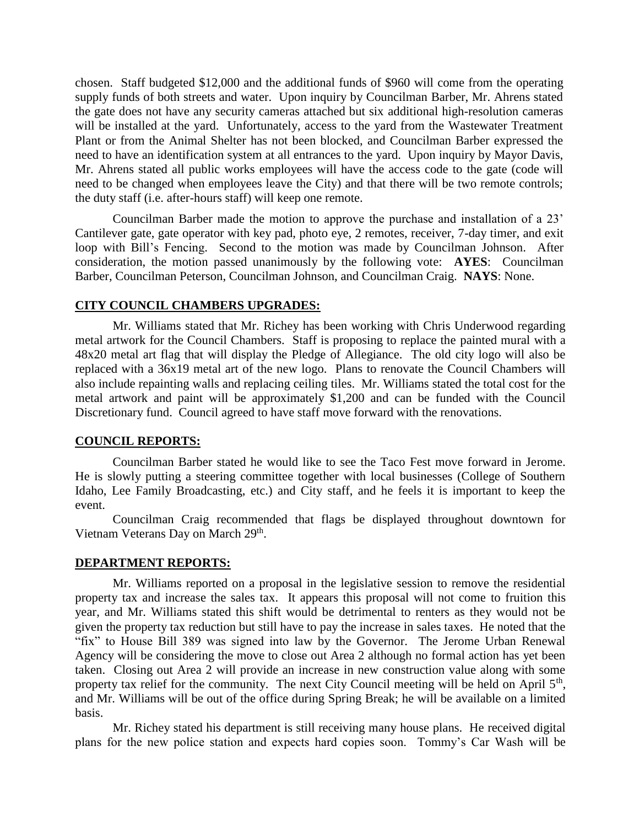chosen. Staff budgeted \$12,000 and the additional funds of \$960 will come from the operating supply funds of both streets and water. Upon inquiry by Councilman Barber, Mr. Ahrens stated the gate does not have any security cameras attached but six additional high-resolution cameras will be installed at the yard. Unfortunately, access to the yard from the Wastewater Treatment Plant or from the Animal Shelter has not been blocked, and Councilman Barber expressed the need to have an identification system at all entrances to the yard. Upon inquiry by Mayor Davis, Mr. Ahrens stated all public works employees will have the access code to the gate (code will need to be changed when employees leave the City) and that there will be two remote controls; the duty staff (i.e. after-hours staff) will keep one remote.

Councilman Barber made the motion to approve the purchase and installation of a 23' Cantilever gate, gate operator with key pad, photo eye, 2 remotes, receiver, 7-day timer, and exit loop with Bill's Fencing. Second to the motion was made by Councilman Johnson. After consideration, the motion passed unanimously by the following vote: **AYES**: Councilman Barber, Councilman Peterson, Councilman Johnson, and Councilman Craig. **NAYS**: None.

### **CITY COUNCIL CHAMBERS UPGRADES:**

Mr. Williams stated that Mr. Richey has been working with Chris Underwood regarding metal artwork for the Council Chambers. Staff is proposing to replace the painted mural with a 48x20 metal art flag that will display the Pledge of Allegiance. The old city logo will also be replaced with a 36x19 metal art of the new logo. Plans to renovate the Council Chambers will also include repainting walls and replacing ceiling tiles. Mr. Williams stated the total cost for the metal artwork and paint will be approximately \$1,200 and can be funded with the Council Discretionary fund. Council agreed to have staff move forward with the renovations.

### **COUNCIL REPORTS:**

Councilman Barber stated he would like to see the Taco Fest move forward in Jerome. He is slowly putting a steering committee together with local businesses (College of Southern Idaho, Lee Family Broadcasting, etc.) and City staff, and he feels it is important to keep the event.

Councilman Craig recommended that flags be displayed throughout downtown for Vietnam Veterans Day on March 29<sup>th</sup>.

### **DEPARTMENT REPORTS:**

Mr. Williams reported on a proposal in the legislative session to remove the residential property tax and increase the sales tax. It appears this proposal will not come to fruition this year, and Mr. Williams stated this shift would be detrimental to renters as they would not be given the property tax reduction but still have to pay the increase in sales taxes. He noted that the "fix" to House Bill 389 was signed into law by the Governor. The Jerome Urban Renewal Agency will be considering the move to close out Area 2 although no formal action has yet been taken. Closing out Area 2 will provide an increase in new construction value along with some property tax relief for the community. The next City Council meeting will be held on April  $5<sup>th</sup>$ , and Mr. Williams will be out of the office during Spring Break; he will be available on a limited basis.

Mr. Richey stated his department is still receiving many house plans. He received digital plans for the new police station and expects hard copies soon. Tommy's Car Wash will be